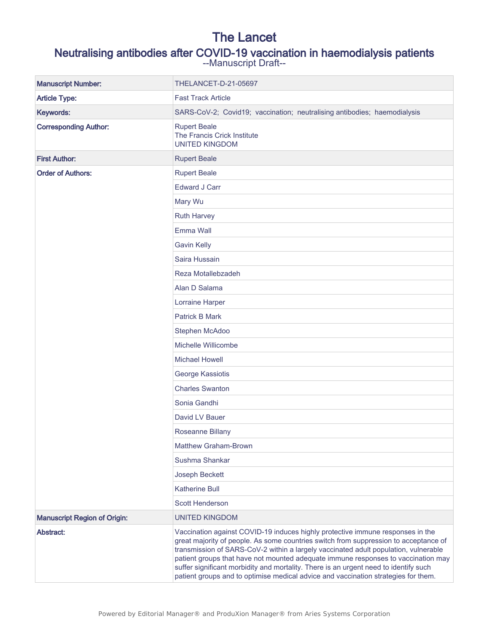## The Lancet

## Neutralising antibodies after COVID-19 vaccination in haemodialysis patients

--Manuscript Draft--

| <b>Manuscript Number:</b>           | THELANCET-D-21-05697                                                                                                                                                                                                                                                                                                                                                                                                                                                                                                             |
|-------------------------------------|----------------------------------------------------------------------------------------------------------------------------------------------------------------------------------------------------------------------------------------------------------------------------------------------------------------------------------------------------------------------------------------------------------------------------------------------------------------------------------------------------------------------------------|
| <b>Article Type:</b>                | <b>Fast Track Article</b>                                                                                                                                                                                                                                                                                                                                                                                                                                                                                                        |
| Keywords:                           | SARS-CoV-2; Covid19; vaccination; neutralising antibodies; haemodialysis                                                                                                                                                                                                                                                                                                                                                                                                                                                         |
| <b>Corresponding Author:</b>        | <b>Rupert Beale</b><br>The Francis Crick Institute<br><b>UNITED KINGDOM</b>                                                                                                                                                                                                                                                                                                                                                                                                                                                      |
| <b>First Author:</b>                | <b>Rupert Beale</b>                                                                                                                                                                                                                                                                                                                                                                                                                                                                                                              |
| <b>Order of Authors:</b>            | <b>Rupert Beale</b>                                                                                                                                                                                                                                                                                                                                                                                                                                                                                                              |
|                                     | <b>Edward J Carr</b>                                                                                                                                                                                                                                                                                                                                                                                                                                                                                                             |
|                                     | Mary Wu                                                                                                                                                                                                                                                                                                                                                                                                                                                                                                                          |
|                                     | <b>Ruth Harvey</b>                                                                                                                                                                                                                                                                                                                                                                                                                                                                                                               |
|                                     | Emma Wall                                                                                                                                                                                                                                                                                                                                                                                                                                                                                                                        |
|                                     | <b>Gavin Kelly</b>                                                                                                                                                                                                                                                                                                                                                                                                                                                                                                               |
|                                     | Saira Hussain                                                                                                                                                                                                                                                                                                                                                                                                                                                                                                                    |
|                                     | Reza Motallebzadeh                                                                                                                                                                                                                                                                                                                                                                                                                                                                                                               |
|                                     | Alan D Salama                                                                                                                                                                                                                                                                                                                                                                                                                                                                                                                    |
|                                     | Lorraine Harper                                                                                                                                                                                                                                                                                                                                                                                                                                                                                                                  |
|                                     | <b>Patrick B Mark</b>                                                                                                                                                                                                                                                                                                                                                                                                                                                                                                            |
|                                     | Stephen McAdoo                                                                                                                                                                                                                                                                                                                                                                                                                                                                                                                   |
|                                     | Michelle Willicombe                                                                                                                                                                                                                                                                                                                                                                                                                                                                                                              |
|                                     | <b>Michael Howell</b>                                                                                                                                                                                                                                                                                                                                                                                                                                                                                                            |
|                                     | George Kassiotis                                                                                                                                                                                                                                                                                                                                                                                                                                                                                                                 |
|                                     | <b>Charles Swanton</b>                                                                                                                                                                                                                                                                                                                                                                                                                                                                                                           |
|                                     | Sonia Gandhi                                                                                                                                                                                                                                                                                                                                                                                                                                                                                                                     |
|                                     | David LV Bauer                                                                                                                                                                                                                                                                                                                                                                                                                                                                                                                   |
|                                     | Roseanne Billany                                                                                                                                                                                                                                                                                                                                                                                                                                                                                                                 |
|                                     | <b>Matthew Graham-Brown</b>                                                                                                                                                                                                                                                                                                                                                                                                                                                                                                      |
|                                     | Sushma Shankar                                                                                                                                                                                                                                                                                                                                                                                                                                                                                                                   |
|                                     | Joseph Beckett                                                                                                                                                                                                                                                                                                                                                                                                                                                                                                                   |
|                                     | <b>Katherine Bull</b>                                                                                                                                                                                                                                                                                                                                                                                                                                                                                                            |
|                                     | <b>Scott Henderson</b>                                                                                                                                                                                                                                                                                                                                                                                                                                                                                                           |
| <b>Manuscript Region of Origin:</b> | <b>UNITED KINGDOM</b>                                                                                                                                                                                                                                                                                                                                                                                                                                                                                                            |
| Abstract:                           | Vaccination against COVID-19 induces highly protective immune responses in the<br>great majority of people. As some countries switch from suppression to acceptance of<br>transmission of SARS-CoV-2 within a largely vaccinated adult population, vulnerable<br>patient groups that have not mounted adequate immune responses to vaccination may<br>suffer significant morbidity and mortality. There is an urgent need to identify such<br>patient groups and to optimise medical advice and vaccination strategies for them. |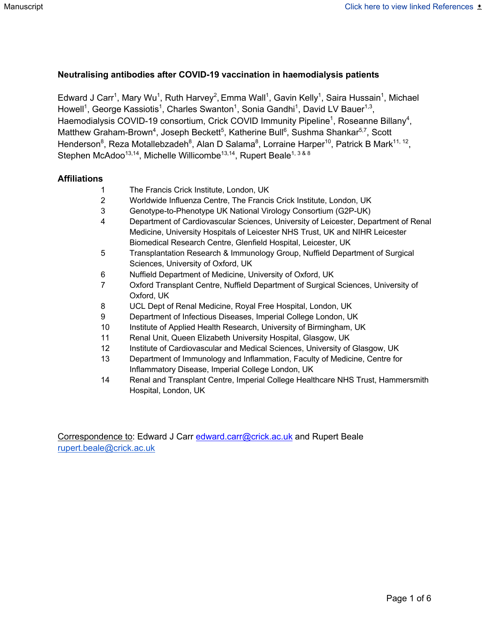#### **Neutralising antibodies after COVID-19 vaccination in haemodialysis patients**

Edward J Carr<sup>1</sup>, Mary Wu<sup>1</sup>, Ruth Harvey<sup>2</sup>, Emma Wall<sup>1</sup>, Gavin Kelly<sup>1</sup>, Saira Hussain<sup>1</sup>, Michael Howell<sup>1</sup>, George Kassiotis<sup>1</sup>, Charles Swanton<sup>1</sup>, Sonia Gandhi<sup>1</sup>, David LV Bauer<sup>1,3</sup>, Haemodialysis COVID-19 consortium, Crick COVID Immunity Pipeline<sup>1</sup>, Roseanne Billany<sup>4</sup>, Matthew Graham-Brown<sup>4</sup>, Joseph Beckett<sup>5</sup>, Katherine Bull<sup>6</sup>, Sushma Shankar<sup>5,7</sup>, Scott Henderson<sup>8</sup>, Reza Motallebzadeh<sup>8</sup>, Alan D Salama<sup>8</sup>, Lorraine Harper<sup>10</sup>, Patrick B Mark<sup>11, 12</sup>, Stephen McAdoo<sup>13,14</sup>, Michelle Willicombe<sup>13,14</sup>, Rupert Beale<sup>1, 3 & 8</sup>

#### **Affiliations**

- 1 The Francis Crick Institute, London, UK
- 2 Worldwide Influenza Centre, The Francis Crick Institute, London, UK
- 3 Genotype-to-Phenotype UK National Virology Consortium (G2P-UK)
- 4 Department of Cardiovascular Sciences, University of Leicester, Department of Renal Medicine, University Hospitals of Leicester NHS Trust, UK and NIHR Leicester Biomedical Research Centre, Glenfield Hospital, Leicester, UK
- 5 Transplantation Research & Immunology Group, Nuffield Department of Surgical Sciences, University of Oxford, UK
- 6 Nuffield Department of Medicine, University of Oxford, UK
- 7 Oxford Transplant Centre, Nuffield Department of Surgical Sciences, University of Oxford, UK
- 8 UCL Dept of Renal Medicine, Royal Free Hospital, London, UK
- 9 Department of Infectious Diseases, Imperial College London, UK
- 10 Institute of Applied Health Research, University of Birmingham, UK
- 11 Renal Unit, Queen Elizabeth University Hospital, Glasgow, UK
- 12 Institute of Cardiovascular and Medical Sciences, University of Glasgow, UK
- 13 Department of Immunology and Inflammation, Faculty of Medicine, Centre for Inflammatory Disease, Imperial College London, UK
- 14 Renal and Transplant Centre, Imperial College Healthcare NHS Trust, Hammersmith Hospital, London, UK

Correspondence to: Edward J Carr edward.carr@crick.ac.uk and Rupert Beale rupert.beale@crick.ac.uk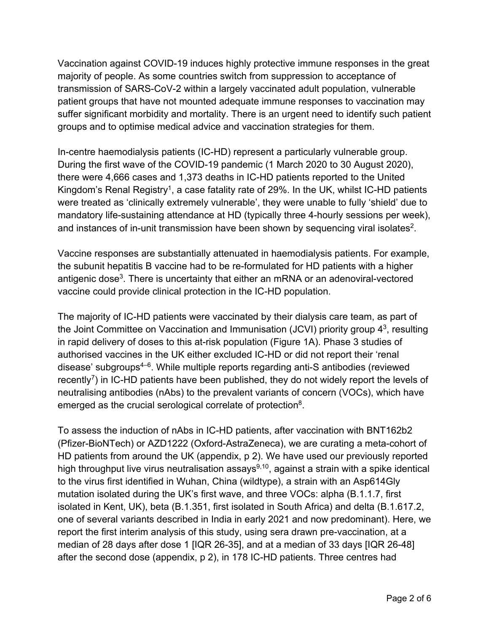Vaccination against COVID-19 induces highly protective immune responses in the great majority of people. As some countries switch from suppression to acceptance of transmission of SARS-CoV-2 within a largely vaccinated adult population, vulnerable patient groups that have not mounted adequate immune responses to vaccination may suffer significant morbidity and mortality. There is an urgent need to identify such patient groups and to optimise medical advice and vaccination strategies for them.

In-centre haemodialysis patients (IC-HD) represent a particularly vulnerable group. During the first wave of the COVID-19 pandemic (1 March 2020 to 30 August 2020), there were 4,666 cases and 1,373 deaths in IC-HD patients reported to the United Kingdom's Renal Registry<sup>1</sup>, a case fatality rate of 29%. In the UK, whilst IC-HD patients were treated as 'clinically extremely vulnerable', they were unable to fully 'shield' due to mandatory life-sustaining attendance at HD (typically three 4-hourly sessions per week), and instances of in-unit transmission have been shown by sequencing viral isolates<sup>2</sup>.

Vaccine responses are substantially attenuated in haemodialysis patients. For example, the subunit hepatitis B vaccine had to be re-formulated for HD patients with a higher antigenic dose<sup>3</sup>. There is uncertainty that either an mRNA or an adenoviral-vectored vaccine could provide clinical protection in the IC-HD population.

The majority of IC-HD patients were vaccinated by their dialysis care team, as part of the Joint Committee on Vaccination and Immunisation (JCVI) priority group  $4<sup>3</sup>$ , resulting in rapid delivery of doses to this at-risk population (Figure 1A). Phase 3 studies of authorised vaccines in the UK either excluded IC-HD or did not report their 'renal disease' subgroups4–6. While multiple reports regarding anti-S antibodies (reviewed recently<sup>7</sup>) in IC-HD patients have been published, they do not widely report the levels of neutralising antibodies (nAbs) to the prevalent variants of concern (VOCs), which have emerged as the crucial serological correlate of protection<sup>8</sup>.

To assess the induction of nAbs in IC-HD patients, after vaccination with BNT162b2 (Pfizer-BioNTech) or AZD1222 (Oxford-AstraZeneca), we are curating a meta-cohort of HD patients from around the UK (appendix, p 2). We have used our previously reported high throughput live virus neutralisation assays $9,10$ , against a strain with a spike identical to the virus first identified in Wuhan, China (wildtype), a strain with an Asp614Gly mutation isolated during the UK's first wave, and three VOCs: alpha (B.1.1.7, first isolated in Kent, UK), beta (B.1.351, first isolated in South Africa) and delta (B.1.617.2, one of several variants described in India in early 2021 and now predominant). Here, we report the first interim analysis of this study, using sera drawn pre-vaccination, at a median of 28 days after dose 1 [IQR 26-35], and at a median of 33 days [IQR 26-48] after the second dose (appendix, p 2), in 178 IC-HD patients. Three centres had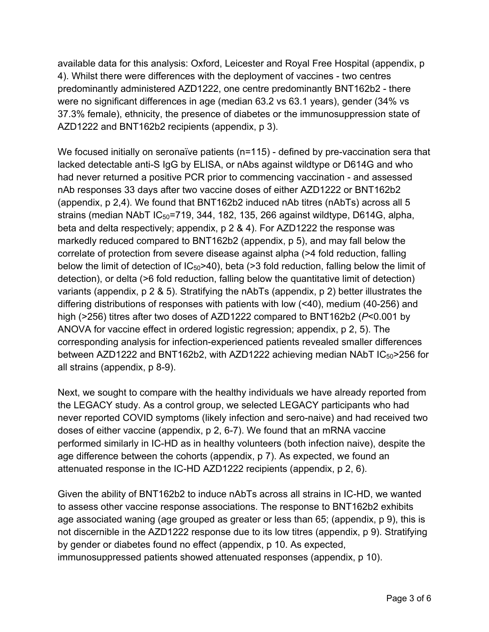available data for this analysis: Oxford, Leicester and Royal Free Hospital (appendix, p 4). Whilst there were differences with the deployment of vaccines - two centres predominantly administered AZD1222, one centre predominantly BNT162b2 - there were no significant differences in age (median 63.2 vs 63.1 years), gender (34% vs 37.3% female), ethnicity, the presence of diabetes or the immunosuppression state of AZD1222 and BNT162b2 recipients (appendix, p 3).

We focused initially on seronaïve patients (n=115) - defined by pre-vaccination sera that lacked detectable anti-S IgG by ELISA, or nAbs against wildtype or D614G and who had never returned a positive PCR prior to commencing vaccination - and assessed nAb responses 33 days after two vaccine doses of either AZD1222 or BNT162b2 (appendix, p 2,4). We found that BNT162b2 induced nAb titres (nAbTs) across all 5 strains (median NAbT  $IC_{50}$ =719, 344, 182, 135, 266 against wildtype, D614G, alpha, beta and delta respectively; appendix, p 2 & 4). For AZD1222 the response was markedly reduced compared to BNT162b2 (appendix, p 5), and may fall below the correlate of protection from severe disease against alpha (>4 fold reduction, falling below the limit of detection of  $IC_{50}$ >40), beta (>3 fold reduction, falling below the limit of detection), or delta (>6 fold reduction, falling below the quantitative limit of detection) variants (appendix, p 2 & 5). Stratifying the nAbTs (appendix, p 2) better illustrates the differing distributions of responses with patients with low (<40), medium (40-256) and high (>256) titres after two doses of AZD1222 compared to BNT162b2 (*P*<0.001 by ANOVA for vaccine effect in ordered logistic regression; appendix, p 2, 5). The corresponding analysis for infection-experienced patients revealed smaller differences between AZD1222 and BNT162b2, with AZD1222 achieving median NAbT IC<sub>50</sub>>256 for all strains (appendix, p 8-9).

Next, we sought to compare with the healthy individuals we have already reported from the LEGACY study. As a control group, we selected LEGACY participants who had never reported COVID symptoms (likely infection and sero-naive) and had received two doses of either vaccine (appendix, p 2, 6-7). We found that an mRNA vaccine performed similarly in IC-HD as in healthy volunteers (both infection naive), despite the age difference between the cohorts (appendix, p 7). As expected, we found an attenuated response in the IC-HD AZD1222 recipients (appendix, p 2, 6).

Given the ability of BNT162b2 to induce nAbTs across all strains in IC-HD, we wanted to assess other vaccine response associations. The response to BNT162b2 exhibits age associated waning (age grouped as greater or less than 65; (appendix, p 9), this is not discernible in the AZD1222 response due to its low titres (appendix, p 9). Stratifying by gender or diabetes found no effect (appendix, p 10. As expected, immunosuppressed patients showed attenuated responses (appendix, p 10).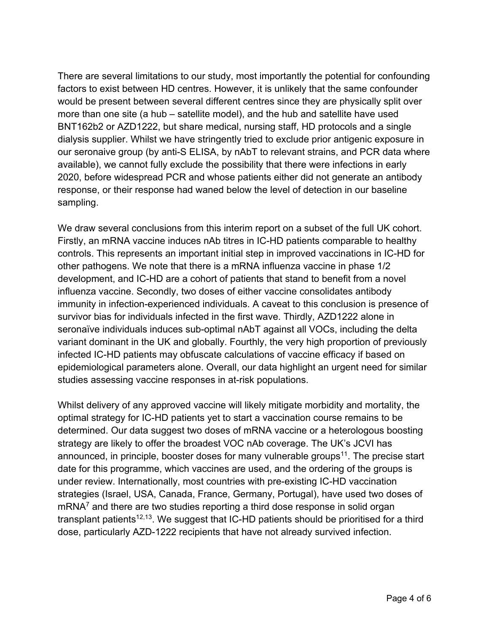There are several limitations to our study, most importantly the potential for confounding factors to exist between HD centres. However, it is unlikely that the same confounder would be present between several different centres since they are physically split over more than one site (a hub – satellite model), and the hub and satellite have used BNT162b2 or AZD1222, but share medical, nursing staff, HD protocols and a single dialysis supplier. Whilst we have stringently tried to exclude prior antigenic exposure in our seronaive group (by anti-S ELISA, by nAbT to relevant strains, and PCR data where available), we cannot fully exclude the possibility that there were infections in early 2020, before widespread PCR and whose patients either did not generate an antibody response, or their response had waned below the level of detection in our baseline sampling.

We draw several conclusions from this interim report on a subset of the full UK cohort. Firstly, an mRNA vaccine induces nAb titres in IC-HD patients comparable to healthy controls. This represents an important initial step in improved vaccinations in IC-HD for other pathogens. We note that there is a mRNA influenza vaccine in phase 1/2 development, and IC-HD are a cohort of patients that stand to benefit from a novel influenza vaccine. Secondly, two doses of either vaccine consolidates antibody immunity in infection-experienced individuals. A caveat to this conclusion is presence of survivor bias for individuals infected in the first wave. Thirdly, AZD1222 alone in seronaïve individuals induces sub-optimal nAbT against all VOCs, including the delta variant dominant in the UK and globally. Fourthly, the very high proportion of previously infected IC-HD patients may obfuscate calculations of vaccine efficacy if based on epidemiological parameters alone. Overall, our data highlight an urgent need for similar studies assessing vaccine responses in at-risk populations.

Whilst delivery of any approved vaccine will likely mitigate morbidity and mortality, the optimal strategy for IC-HD patients yet to start a vaccination course remains to be determined. Our data suggest two doses of mRNA vaccine or a heterologous boosting strategy are likely to offer the broadest VOC nAb coverage. The UK's JCVI has announced, in principle, booster doses for many vulnerable groups<sup>11</sup>. The precise start date for this programme, which vaccines are used, and the ordering of the groups is under review. Internationally, most countries with pre-existing IC-HD vaccination strategies (Israel, USA, Canada, France, Germany, Portugal), have used two doses of  $mRNA<sup>7</sup>$  and there are two studies reporting a third dose response in solid organ transplant patients<sup>12,13</sup>. We suggest that IC-HD patients should be prioritised for a third dose, particularly AZD-1222 recipients that have not already survived infection.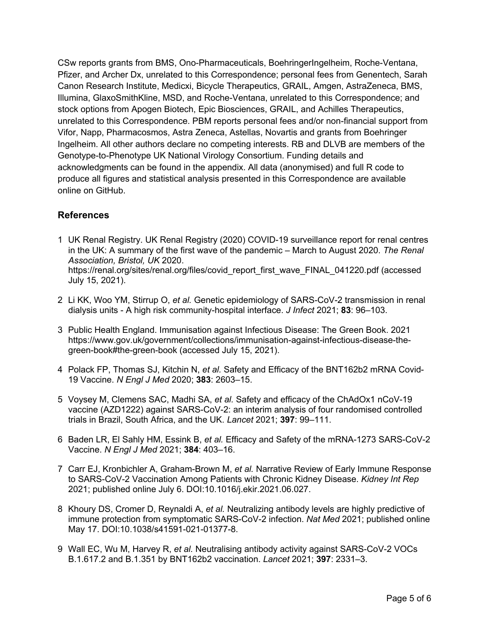CSw reports grants from BMS, Ono-Pharmaceuticals, BoehringerIngelheim, Roche-Ventana, Pfizer, and Archer Dx, unrelated to this Correspondence; personal fees from Genentech, Sarah Canon Research Institute, Medicxi, Bicycle Therapeutics, GRAIL, Amgen, AstraZeneca, BMS, Illumina, GlaxoSmithKline, MSD, and Roche-Ventana, unrelated to this Correspondence; and stock options from Apogen Biotech, Epic Biosciences, GRAIL, and Achilles Therapeutics, unrelated to this Correspondence. PBM reports personal fees and/or non-financial support from Vifor, Napp, Pharmacosmos, Astra Zeneca, Astellas, Novartis and grants from Boehringer Ingelheim. All other authors declare no competing interests. RB and DLVB are members of the Genotype-to-Phenotype UK National Virology Consortium. Funding details and acknowledgments can be found in the appendix. All data (anonymised) and full R code to produce all figures and statistical analysis presented in this Correspondence are available online on GitHub.

#### **References**

- 1 UK Renal Registry. UK Renal Registry (2020) COVID-19 surveillance report for renal centres in the UK: A summary of the first wave of the pandemic – March to August 2020. *The Renal Association, Bristol, UK* 2020. https://renal.org/sites/renal.org/files/covid\_report\_first\_wave\_FINAL\_041220.pdf (accessed July 15, 2021).
- 2 Li KK, Woo YM, Stirrup O, *et al.* Genetic epidemiology of SARS-CoV-2 transmission in renal dialysis units - A high risk community-hospital interface. *J Infect* 2021; **83**: 96–103.
- 3 Public Health England. Immunisation against Infectious Disease: The Green Book. 2021 https://www.gov.uk/government/collections/immunisation-against-infectious-disease-thegreen-book#the-green-book (accessed July 15, 2021).
- 4 Polack FP, Thomas SJ, Kitchin N, *et al.* Safety and Efficacy of the BNT162b2 mRNA Covid-19 Vaccine. *N Engl J Med* 2020; **383**: 2603–15.
- 5 Voysey M, Clemens SAC, Madhi SA, *et al.* Safety and efficacy of the ChAdOx1 nCoV-19 vaccine (AZD1222) against SARS-CoV-2: an interim analysis of four randomised controlled trials in Brazil, South Africa, and the UK. *Lancet* 2021; **397**: 99–111.
- 6 Baden LR, El Sahly HM, Essink B, *et al.* Efficacy and Safety of the mRNA-1273 SARS-CoV-2 Vaccine. *N Engl J Med* 2021; **384**: 403–16.
- 7 Carr EJ, Kronbichler A, Graham-Brown M, *et al.* Narrative Review of Early Immune Response to SARS-CoV-2 Vaccination Among Patients with Chronic Kidney Disease. *Kidney Int Rep* 2021; published online July 6. DOI:10.1016/j.ekir.2021.06.027.
- 8 Khoury DS, Cromer D, Reynaldi A, *et al.* Neutralizing antibody levels are highly predictive of immune protection from symptomatic SARS-CoV-2 infection. *Nat Med* 2021; published online May 17. DOI:10.1038/s41591-021-01377-8.
- 9 Wall EC, Wu M, Harvey R, *et al.* Neutralising antibody activity against SARS-CoV-2 VOCs B.1.617.2 and B.1.351 by BNT162b2 vaccination. *Lancet* 2021; **397**: 2331–3.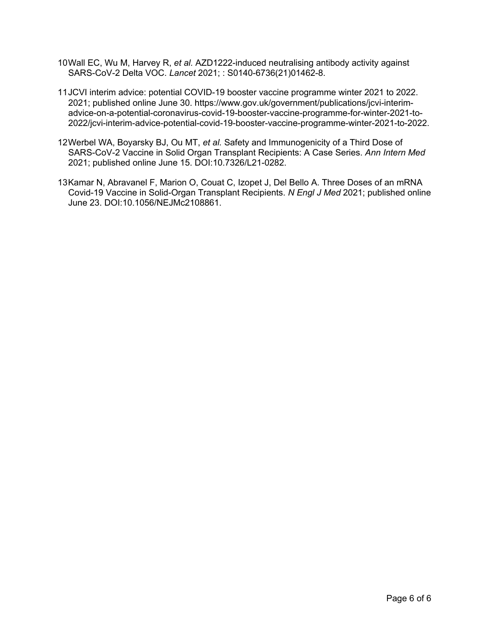- 10Wall EC, Wu M, Harvey R, *et al.* AZD1222-induced neutralising antibody activity against SARS-CoV-2 Delta VOC. *Lancet* 2021; : S0140-6736(21)01462-8.
- 11JCVI interim advice: potential COVID-19 booster vaccine programme winter 2021 to 2022. 2021; published online June 30. https://www.gov.uk/government/publications/jcvi-interimadvice-on-a-potential-coronavirus-covid-19-booster-vaccine-programme-for-winter-2021-to-2022/jcvi-interim-advice-potential-covid-19-booster-vaccine-programme-winter-2021-to-2022.
- 12Werbel WA, Boyarsky BJ, Ou MT, *et al.* Safety and Immunogenicity of a Third Dose of SARS-CoV-2 Vaccine in Solid Organ Transplant Recipients: A Case Series. *Ann Intern Med* 2021; published online June 15. DOI:10.7326/L21-0282.
- 13Kamar N, Abravanel F, Marion O, Couat C, Izopet J, Del Bello A. Three Doses of an mRNA Covid-19 Vaccine in Solid-Organ Transplant Recipients. *N Engl J Med* 2021; published online June 23. DOI:10.1056/NEJMc2108861.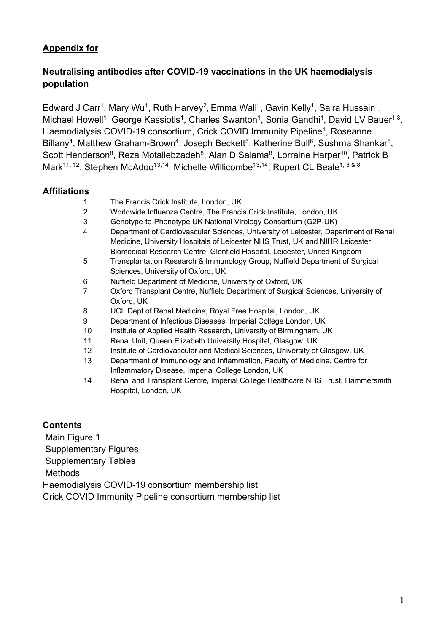## **Appendix for**

## **Neutralising antibodies after COVID-19 vaccinations in the UK haemodialysis population**

Edward J Carr<sup>1</sup>, Mary Wu<sup>1</sup>, Ruth Harvey<sup>2</sup>, Emma Wall<sup>1</sup>, Gavin Kelly<sup>1</sup>, Saira Hussain<sup>1</sup>, Michael Howell<sup>1</sup>, George Kassiotis<sup>1</sup>, Charles Swanton<sup>1</sup>, Sonia Gandhi<sup>1</sup>, David LV Bauer<sup>1,3</sup>. Haemodialysis COVID-19 consortium, Crick COVID Immunity Pipeline<sup>1</sup>, Roseanne Billany<sup>4</sup>, Matthew Graham-Brown<sup>4</sup>, Joseph Beckett<sup>5</sup>, Katherine Bull<sup>6</sup>, Sushma Shankar<sup>5</sup>, Scott Henderson<sup>8</sup>, Reza Motallebzadeh<sup>8</sup>, Alan D Salama<sup>8</sup>, Lorraine Harper<sup>10</sup>, Patrick B Mark<sup>11, 12</sup>, Stephen McAdoo<sup>13,14</sup>, Michelle Willicombe<sup>13,14</sup>, Rupert CL Beale<sup>1, 3 & 8</sup>

#### **Affiliations**

- 1 The Francis Crick Institute, London, UK
- 2 Worldwide Influenza Centre, The Francis Crick Institute, London, UK
- 3 Genotype-to-Phenotype UK National Virology Consortium (G2P-UK)
- 4 Department of Cardiovascular Sciences, University of Leicester, Department of Renal Medicine, University Hospitals of Leicester NHS Trust, UK and NIHR Leicester Biomedical Research Centre, Glenfield Hospital, Leicester, United Kingdom
- 5 Transplantation Research & Immunology Group, Nuffield Department of Surgical Sciences, University of Oxford, UK
- 6 Nuffield Department of Medicine, University of Oxford, UK
- 7 Oxford Transplant Centre, Nuffield Department of Surgical Sciences, University of Oxford, UK
- 8 UCL Dept of Renal Medicine, Royal Free Hospital, London, UK
- 9 Department of Infectious Diseases, Imperial College London, UK
- 10 Institute of Applied Health Research, University of Birmingham, UK
- 11 Renal Unit, Queen Elizabeth University Hospital, Glasgow, UK
- 12 Institute of Cardiovascular and Medical Sciences, University of Glasgow, UK
- 13 Department of Immunology and Inflammation, Faculty of Medicine, Centre for Inflammatory Disease, Imperial College London, UK
- 14 Renal and Transplant Centre, Imperial College Healthcare NHS Trust, Hammersmith Hospital, London, UK

#### **Contents**

Main Figure 1 Supplementary Figures Supplementary Tables Methods Haemodialysis COVID-19 consortium membership list Crick COVID Immunity Pipeline consortium membership list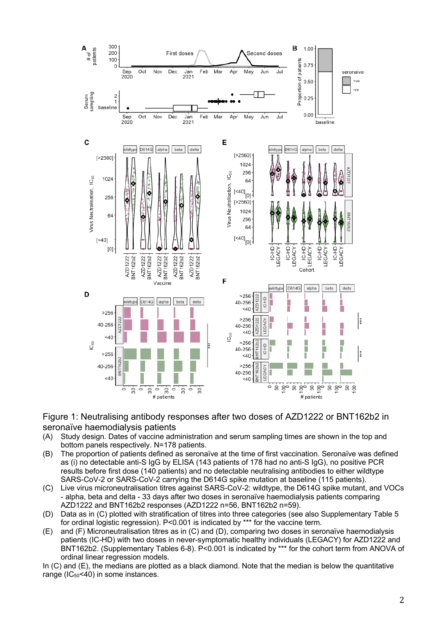

#### Figure 1: Neutralising antibody responses after two doses of AZD1222 or BNT162b2 in seronaïve haemodialysis patients

- (A) Study design. Dates of vaccine administration and serum sampling times are shown in the top and bottom panels respectively. N=178 patients.
- (B) The proportion of patients defined as seronaïve at the time of first vaccination. Seronaïve was defined as (i) no detectable anti-S IgG by ELISA (143 patients of 178 had no anti-S IgG), no positive PCR results before first dose (140 patients) and no detectable neutralising antibodies to either wildtype SARS-CoV-2 or SARS-CoV-2 carrying the D614G spike mutation at baseline (115 patients).
- (C) Live virus microneutralisation titres against SARS-CoV-2: wildtype, the D614G spike mutant, and VOCs - alpha, beta and delta - 33 days after two doses in seronaïve haemodialysis patients comparing AZD1222 and BNT162b2 responses (AZD1222 n=56, BNT162b2 n=59).
- (D) Data as in (C) plotted with stratification of titres into three categories (see also Supplementary Table 5 for ordinal logistic regression). P<0.001 is indicated by \*\*\* for the vaccine term.
- (E) and (F) Microneutralisation titres as in (C) and (D), comparing two doses in seronaïve haemodialysis patients (IC-HD) with two doses in never-symptomatic healthy individuals (LEGACY) for AZD1222 and BNT162b2. (Supplementary Tables 6-8). P<0.001 is indicated by \*\*\* for the cohort term from ANOVA of ordinal linear regression models.

In (C) and (E), the medians are plotted as a black diamond. Note that the median is below the quantitative range ( $IC_{50}$ <40) in some instances.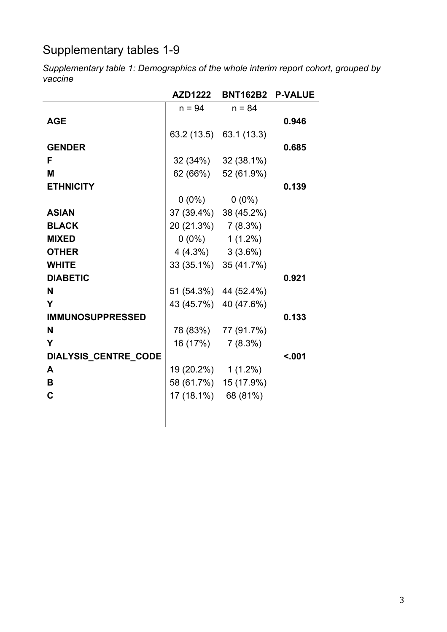# Supplementary tables 1-9

*Supplementary table 1: Demographics of the whole interim report cohort, grouped by vaccine*

|                         | <b>AZD1222</b>        | <b>BNT162B2</b>         | <b>P-VALUE</b> |
|-------------------------|-----------------------|-------------------------|----------------|
|                         | $n = 94$              | $n = 84$                |                |
| <b>AGE</b>              |                       |                         | 0.946          |
|                         |                       | 63.2 (13.5) 63.1 (13.3) |                |
| <b>GENDER</b>           |                       |                         | 0.685          |
| F                       |                       | $32(34\%)$ $32(38.1\%)$ |                |
| M                       |                       | 62 (66%) 52 (61.9%)     |                |
| <b>ETHNICITY</b>        |                       |                         | 0.139          |
|                         | $0(0\%)$              | $0(0\%)$                |                |
| <b>ASIAN</b>            | 37 (39.4%) 38 (45.2%) |                         |                |
| <b>BLACK</b>            | 20 (21.3%) 7 (8.3%)   |                         |                |
| <b>MIXED</b>            |                       | $0(0\%)$ 1(1.2%)        |                |
| <b>OTHER</b>            | $4(4.3\%)$ $3(3.6\%)$ |                         |                |
| <b>WHITE</b>            |                       | 33 (35.1%) 35 (41.7%)   |                |
| <b>DIABETIC</b>         |                       |                         | 0.921          |
| N                       | 51 (54.3%) 44 (52.4%) |                         |                |
| Y                       | 43 (45.7%) 40 (47.6%) |                         |                |
| <b>IMMUNOSUPPRESSED</b> |                       |                         | 0.133          |
| N                       |                       | 78 (83%) 77 (91.7%)     |                |
| Y                       | $16(17%)$ $7(8.3%)$   |                         |                |
| DIALYSIS_CENTRE_CODE    |                       |                         | < .001         |
| A                       | 19 (20.2%) 1 (1.2%)   |                         |                |
| B                       | 58 (61.7%) 15 (17.9%) |                         |                |
| C                       | 17 (18.1%) 68 (81%)   |                         |                |
|                         |                       |                         |                |
|                         |                       |                         |                |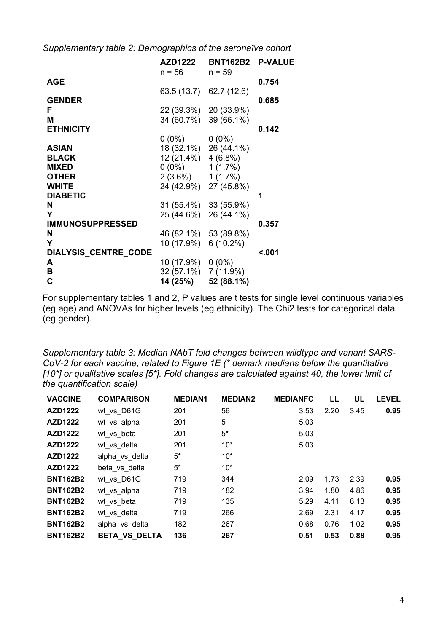|                             | <b>AZD1222</b>       | <b>BNT162B2</b>         | <b>P-VALUE</b> |
|-----------------------------|----------------------|-------------------------|----------------|
|                             | $n = 56$             | $n = 59$                |                |
| <b>AGE</b>                  |                      |                         | 0.754          |
|                             |                      | 63.5 (13.7) 62.7 (12.6) |                |
| <b>GENDER</b>               |                      |                         | 0.685          |
| F                           |                      | 22 (39.3%) 20 (33.9%)   |                |
| M                           |                      | 34 (60.7%) 39 (66.1%)   |                |
| <b>ETHNICITY</b>            |                      |                         | 0.142          |
|                             | $0(0\%)$ $0(0\%)$    |                         |                |
| <b>ASIAN</b>                |                      | 18 (32.1%) 26 (44.1%)   |                |
| <b>BLACK</b>                | 12 (21.4%) 4 (6.8%)  |                         |                |
| <b>MIXED</b>                | $0(0\%)$ 1 (1.7%)    |                         |                |
| <b>OTHER</b>                | $2(3.6\%)$ 1(1.7%)   |                         |                |
| <b>WHITE</b>                |                      | 24 (42.9%) 27 (45.8%)   |                |
| <b>DIABETIC</b>             |                      |                         | 1              |
| N                           |                      | 31 (55.4%) 33 (55.9%)   |                |
| Y                           |                      | 25 (44.6%) 26 (44.1%)   |                |
| <b>IMMUNOSUPPRESSED</b>     |                      |                         | 0.357          |
| N                           |                      | 46 (82.1%) 53 (89.8%)   |                |
| Y                           | 10 (17.9%) 6 (10.2%) |                         |                |
| <b>DIALYSIS CENTRE CODE</b> |                      |                         | < .001         |
| A                           | $10(17.9\%)$ 0 (0%)  |                         |                |
| В                           | 32 (57.1%) 7 (11.9%) |                         |                |
| C                           |                      | 14 (25%) 52 (88.1%)     |                |
|                             |                      |                         |                |

*Supplementary table 2: Demographics of the seronaïve cohort*

For supplementary tables 1 and 2, P values are t tests for single level continuous variables (eg age) and ANOVAs for higher levels (eg ethnicity). The Chi2 tests for categorical data (eg gender).

*Supplementary table 3: Median NAbT fold changes between wildtype and variant SARS-CoV-2 for each vaccine, related to Figure 1E (\* demark medians below the quantitative [10\*] or qualitative scales [5\*]. Fold changes are calculated against 40, the lower limit of the quantification scale)*

| <b>VACCINE</b>  | <b>COMPARISON</b>    | <b>MEDIAN1</b> | <b>MEDIAN2</b> | <b>MEDIANFC</b> | LL   | UL   | <b>LEVEL</b> |
|-----------------|----------------------|----------------|----------------|-----------------|------|------|--------------|
| AZD1222         | wt vs D61G           | 201            | 56             | 3.53            | 2.20 | 3.45 | 0.95         |
| AZD1222         | wt vs alpha          | 201            | 5              | 5.03            |      |      |              |
| AZD1222         | wt_vs_beta           | 201            | $5*$           | 5.03            |      |      |              |
| AZD1222         | wt vs delta          | 201            | $10*$          | 5.03            |      |      |              |
| AZD1222         | alpha vs delta       | $5^*$          | $10*$          |                 |      |      |              |
| <b>AZD1222</b>  | beta vs delta        | $5^*$          | $10*$          |                 |      |      |              |
| <b>BNT162B2</b> | wt vs D61G           | 719            | 344            | 2.09            | 1.73 | 2.39 | 0.95         |
| <b>BNT162B2</b> | wt vs alpha          | 719            | 182            | 3.94            | 1.80 | 4.86 | 0.95         |
| <b>BNT162B2</b> | wt vs beta           | 719            | 135            | 5.29            | 4.11 | 6.13 | 0.95         |
| <b>BNT162B2</b> | wt vs delta          | 719            | 266            | 2.69            | 2.31 | 4.17 | 0.95         |
| <b>BNT162B2</b> | alpha vs delta       | 182            | 267            | 0.68            | 0.76 | 1.02 | 0.95         |
| <b>BNT162B2</b> | <b>BETA VS DELTA</b> | 136            | 267            | 0.51            | 0.53 | 0.88 | 0.95         |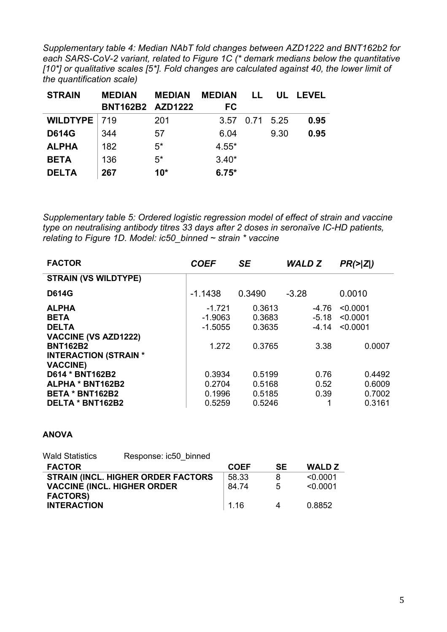*Supplementary table 4: Median NAbT fold changes between AZD1222 and BNT162b2 for each SARS-CoV-2 variant, related to Figure 1C (\* demark medians below the quantitative [10\*] or qualitative scales [5\*]. Fold changes are calculated against 40, the lower limit of the quantification scale)*

| <b>STRAIN</b>  | <b>MEDIAN</b>           | <b>MEDIAN</b> | <b>MEDIAN</b> | . .  | UL    | LEVEL |
|----------------|-------------------------|---------------|---------------|------|-------|-------|
|                | <b>BNT162B2 AZD1222</b> |               | <b>FC</b>     |      |       |       |
| WILDTYPE   719 |                         | 201           | 3.57          | 0.71 | -5.25 | 0.95  |
| <b>D614G</b>   | 344                     | 57            | 6.04          |      | 9.30  | 0.95  |
| <b>ALPHA</b>   | 182                     | $5*$          | $4.55*$       |      |       |       |
| <b>BETA</b>    | 136                     | $5*$          | $3.40*$       |      |       |       |
| <b>DELTA</b>   | 267                     | $10*$         | $6.75*$       |      |       |       |

*Supplementary table 5: Ordered logistic regression model of effect of strain and vaccine type on neutralising antibody titres 33 days after 2 doses in seronaïve IC-HD patients, relating to Figure 1D. Model: ic50\_binned ~ strain \* vaccine*

| <b>FACTOR</b>                | <b>COEF</b> | <b>SE</b> | <b>WALD Z</b> | $PR(>\vert Z \vert)$ |
|------------------------------|-------------|-----------|---------------|----------------------|
| <b>STRAIN (VS WILDTYPE)</b>  |             |           |               |                      |
| <b>D614G</b>                 | $-1.1438$   | 0.3490    | $-3.28$       | 0.0010               |
| <b>ALPHA</b>                 | $-1.721$    | 0.3613    | -4.76         | < 0.0001             |
| <b>BETA</b>                  | $-1.9063$   | 0.3683    | $-5.18$       | < 0.0001             |
| <b>DELTA</b>                 | $-1.5055$   | 0.3635    | $-4.14$       | < 0.0001             |
| <b>VACCINE (VS AZD1222)</b>  |             |           |               |                      |
| <b>BNT162B2</b>              | 1.272       | 0.3765    | 3.38          | 0.0007               |
| <b>INTERACTION (STRAIN *</b> |             |           |               |                      |
| <b>VACCINE)</b>              |             |           |               |                      |
| D614 * BNT162B2              | 0.3934      | 0.5199    | 0.76          | 0.4492               |
| ALPHA * BNT162B2             | 0.2704      | 0.5168    | 0.52          | 0.6009               |
| <b>BETA * BNT162B2</b>       | 0.1996      | 0.5185    | 0.39          | 0.7002               |
| DELTA * BNT162B2             | 0.5259      | 0.5246    |               | 0.3161               |

#### **ANOVA**

| <b>Wald Statistics</b> | Response: ic50 binned               |                   |           |               |
|------------------------|-------------------------------------|-------------------|-----------|---------------|
| <b>FACTOR</b>          |                                     | <b>COEF</b>       | <b>SE</b> | <b>WALD Z</b> |
|                        | STRAIN (INCL. HIGHER ORDER FACTORS  | 58.33             | 8         | < 0.0001      |
|                        | <b>VACCINE (INCL. HIGHER ORDER)</b> | 84.74             | .5        | < 0.0001      |
| <b>FACTORS)</b>        |                                     |                   |           |               |
| <b>INTERACTION</b>     |                                     | $\overline{1.16}$ |           | 0.8852        |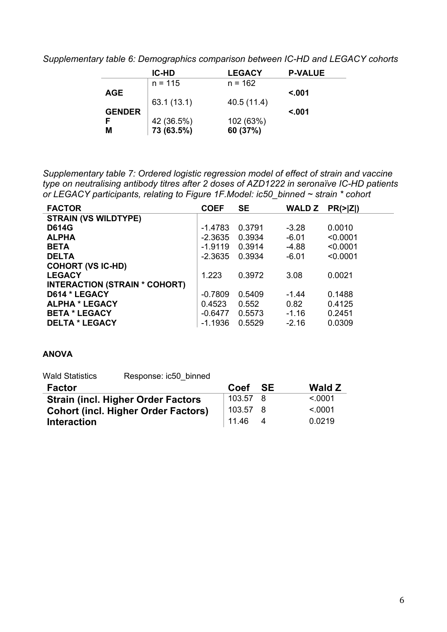*Supplementary table 6: Demographics comparison between IC-HD and LEGACY cohorts*

|               | <b>IC-HD</b> | <b>LEGACY</b> | <b>P-VALUE</b> |
|---------------|--------------|---------------|----------------|
|               | $n = 115$    | $n = 162$     |                |
| <b>AGE</b>    |              |               | < 001          |
|               | 63.1(13.1)   | 40.5(11.4)    |                |
| <b>GENDER</b> |              |               | < 001          |
|               | 42 (36.5%)   | 102 (63%)     |                |
| М             | 73 (63.5%)   | 60 (37%)      |                |

*Supplementary table 7: Ordered logistic regression model of effect of strain and vaccine type on neutralising antibody titres after 2 doses of AZD1222 in seronaïve IC-HD patients or LEGACY participants, relating to Figure 1F.Model: ic50\_binned ~ strain \* cohort*

| <b>FACTOR</b>                        | <b>COEF</b> | <b>SE</b> | <b>WALD Z</b> | $PR(>\vert Z \vert)$ |
|--------------------------------------|-------------|-----------|---------------|----------------------|
| <b>STRAIN (VS WILDTYPE)</b>          |             |           |               |                      |
| <b>D614G</b>                         | $-1.4783$   | 0.3791    | $-3.28$       | 0.0010               |
| <b>ALPHA</b>                         | $-2.3635$   | 0.3934    | $-6.01$       | < 0.0001             |
| <b>BETA</b>                          | $-1.9119$   | 0.3914    | $-4.88$       | < 0.0001             |
| <b>DELTA</b>                         | $-2.3635$   | 0.3934    | $-6.01$       | < 0.0001             |
| <b>COHORT (VS IC-HD)</b>             |             |           |               |                      |
| <b>LEGACY</b>                        | 1.223       | 0.3972    | 3.08          | 0.0021               |
| <b>INTERACTION (STRAIN * COHORT)</b> |             |           |               |                      |
| D614 * LEGACY                        | $-0.7809$   | 0.5409    | $-1.44$       | 0.1488               |
| <b>ALPHA * LEGACY</b>                | 0.4523      | 0.552     | 0.82          | 0.4125               |
| <b>BETA * LEGACY</b>                 | $-0.6477$   | 0.5573    | $-1.16$       | 0.2451               |
| <b>DELTA * LEGACY</b>                | $-1.1936$   | 0.5529    | $-2.16$       | 0.0309               |

#### **ANOVA**

Wald Statistics Response: ic50\_binned

| <b>Factor</b>                              | Coef     | - SE | <b>Wald Z</b> |
|--------------------------------------------|----------|------|---------------|
| <b>Strain (incl. Higher Order Factors)</b> | 103.57 8 |      | $\leq 0001$   |
| <b>Cohort (incl. Higher Order Factors)</b> | 103.57 8 |      | $\leq 0001$   |
| <b>Interaction</b>                         | 11.46    |      | 0.0219        |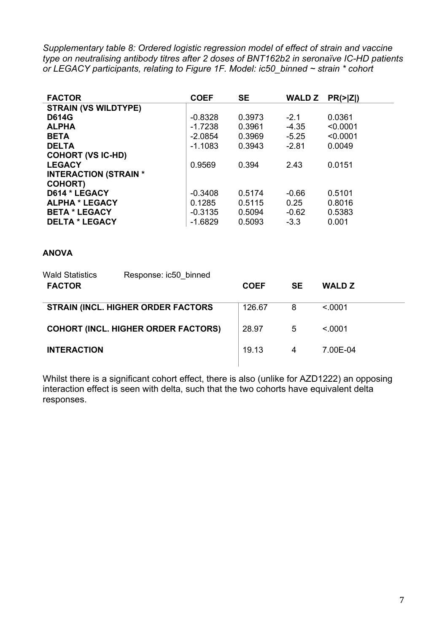*Supplementary table 8: Ordered logistic regression model of effect of strain and vaccine type on neutralising antibody titres after 2 doses of BNT162b2 in seronaïve IC-HD patients or LEGACY participants, relating to Figure 1F. Model: ic50\_binned ~ strain \* cohort*

| <b>FACTOR</b>                | <b>COEF</b> | <b>SE</b> | <b>WALD Z</b> | PR(>  Z ) |
|------------------------------|-------------|-----------|---------------|-----------|
| <b>STRAIN (VS WILDTYPE)</b>  |             |           |               |           |
| <b>D614G</b>                 | $-0.8328$   | 0.3973    | $-2.1$        | 0.0361    |
| <b>ALPHA</b>                 | $-1.7238$   | 0.3961    | $-4.35$       | < 0.0001  |
| <b>BETA</b>                  | $-2.0854$   | 0.3969    | $-5.25$       | < 0.0001  |
| <b>DELTA</b>                 | $-1.1083$   | 0.3943    | $-2.81$       | 0.0049    |
| <b>COHORT (VS IC-HD)</b>     |             |           |               |           |
| <b>LEGACY</b>                | 0.9569      | 0.394     | 2.43          | 0.0151    |
| <b>INTERACTION (STRAIN *</b> |             |           |               |           |
| <b>COHORT)</b>               |             |           |               |           |
| D614 * LEGACY                | $-0.3408$   | 0.5174    | $-0.66$       | 0.5101    |
| <b>ALPHA * LEGACY</b>        | 0.1285      | 0.5115    | 0.25          | 0.8016    |
| <b>BETA * LEGACY</b>         | $-0.3135$   | 0.5094    | $-0.62$       | 0.5383    |
| <b>DELTA * LEGACY</b>        | $-1.6829$   | 0.5093    | $-3.3$        | 0.001     |

#### **ANOVA**

| <b>Wald Statistics</b><br><b>FACTOR</b> | Response: ic50 binned                      | <b>COEF</b> | <b>SE</b> | <b>WALD Z</b> |
|-----------------------------------------|--------------------------------------------|-------------|-----------|---------------|
|                                         | <b>STRAIN (INCL. HIGHER ORDER FACTORS</b>  | 126.67      | 8         | < 0.001       |
|                                         | <b>COHORT (INCL. HIGHER ORDER FACTORS)</b> | 28.97       | 5         | < 0.001       |
| <b>INTERACTION</b>                      |                                            | 19.13       | 4         | 7.00E-04      |
|                                         |                                            |             |           |               |

Whilst there is a significant cohort effect, there is also (unlike for AZD1222) an opposing interaction effect is seen with delta, such that the two cohorts have equivalent delta responses.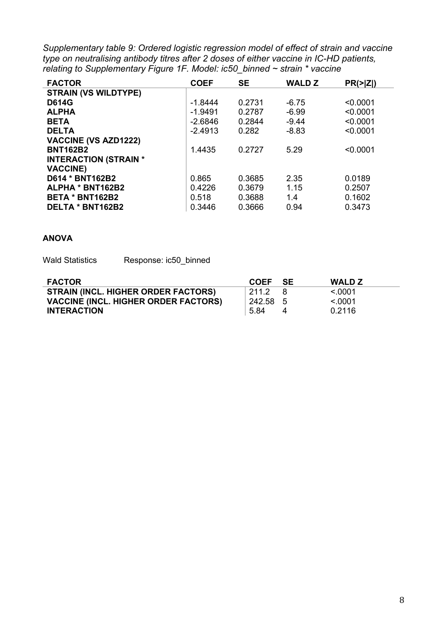*Supplementary table 9: Ordered logistic regression model of effect of strain and vaccine type on neutralising antibody titres after 2 doses of either vaccine in IC-HD patients, relating to Supplementary Figure 1F. Model: ic50\_binned ~ strain \* vaccine*

| <b>FACTOR</b>                | <b>COEF</b> | <b>SE</b> | <b>WALD Z</b> | PR(>  Z ) |
|------------------------------|-------------|-----------|---------------|-----------|
| <b>STRAIN (VS WILDTYPE)</b>  |             |           |               |           |
| <b>D614G</b>                 | $-1.8444$   | 0.2731    | $-6.75$       | < 0.0001  |
| <b>ALPHA</b>                 | $-1.9491$   | 0.2787    | $-6.99$       | < 0.0001  |
| <b>BETA</b>                  | $-2.6846$   | 0.2844    | $-9.44$       | < 0.0001  |
| <b>DELTA</b>                 | $-2.4913$   | 0.282     | $-8.83$       | < 0.0001  |
| <b>VACCINE (VS AZD1222)</b>  |             |           |               |           |
| <b>BNT162B2</b>              | 1.4435      | 0.2727    | 5.29          | < 0.0001  |
| <b>INTERACTION (STRAIN *</b> |             |           |               |           |
| <b>VACCINE)</b>              |             |           |               |           |
| D614 * BNT162B2              | 0.865       | 0.3685    | 2.35          | 0.0189    |
| ALPHA * BNT162B2             | 0.4226      | 0.3679    | 1.15          | 0.2507    |
| <b>BETA * BNT162B2</b>       | 0.518       | 0.3688    | 1.4           | 0.1602    |
| DELTA * BNT162B2             | 0.3446      | 0.3666    | 0.94          | 0.3473    |

#### **ANOVA**

Wald Statistics Response: ic50 binned

| <b>FACTOR</b>                               | <b>COEF</b> | - SE | <b>WALD Z</b> |
|---------------------------------------------|-------------|------|---------------|
| <b>STRAIN (INCL. HIGHER ORDER FACTORS)</b>  | 211.2       |      | < 0.001       |
| <b>VACCINE (INCL. HIGHER ORDER FACTORS)</b> | 242.58 5    |      | < 0.001       |
| <b>INTERACTION</b>                          | 5.84        |      | 0.2116        |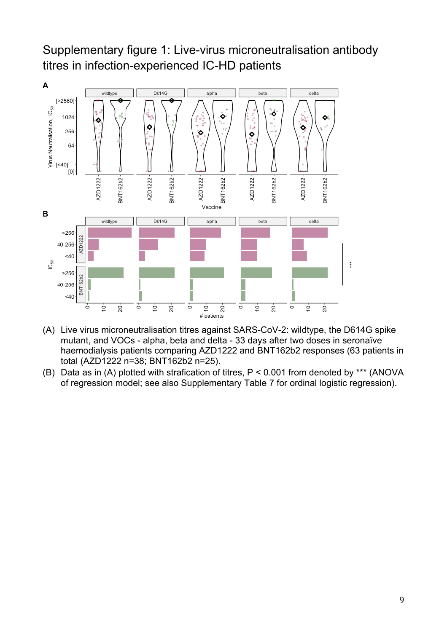# Supplementary figure 1: Live-virus microneutralisation antibody titres in infection-experienced IC-HD patients



- (A) Live virus microneutralisation titres against SARS-CoV-2: wildtype, the D614G spike mutant, and VOCs - alpha, beta and delta - 33 days after two doses in seronaïve haemodialysis patients comparing AZD1222 and BNT162b2 responses (63 patients in total (AZD1222 n=38; BNT162b2 n=25).
- (B) Data as in (A) plotted with strafication of titres, P < 0.001 from denoted by \*\*\* (ANOVA of regression model; see also Supplementary Table 7 for ordinal logistic regression).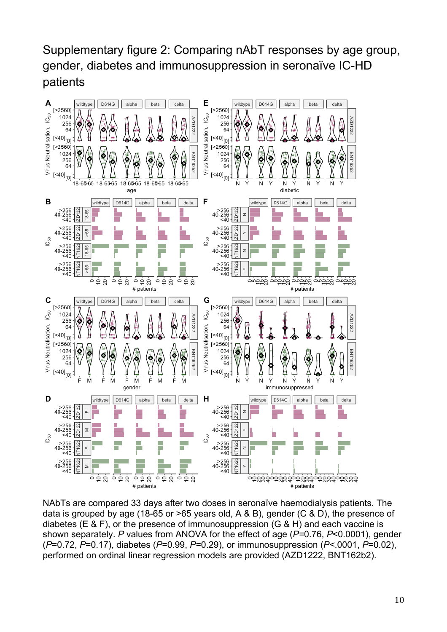# Supplementary figure 2: Comparing nAbT responses by age group, gender, diabetes and immunosuppression in seronaïve IC-HD patients



NAbTs are compared 33 days after two doses in seronaïve haemodialysis patients. The data is grouped by age (18-65 or >65 years old, A & B), gender (C & D), the presence of diabetes (E & F), or the presence of immunosuppression (G & H) and each vaccine is shown separately. *P* values from ANOVA for the effect of age (*P=*0.76, *P*<0.0001), gender (*P*=0.72, *P*=0.17), diabetes (*P*=0.99, *P*=0.29), or immunosuppression (*P<*.0001, *P*=0.02), performed on ordinal linear regression models are provided (AZD1222, BNT162b2).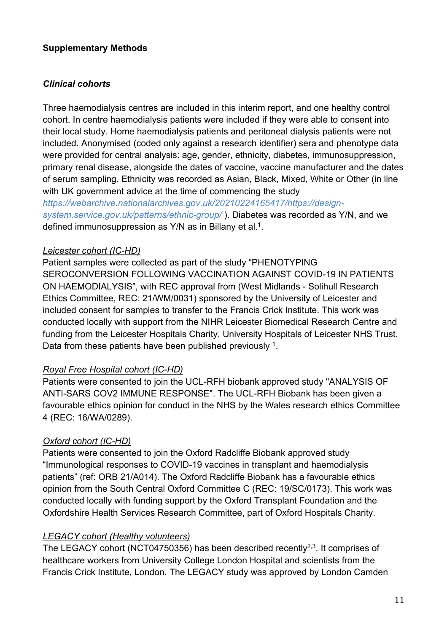#### **Supplementary Methods**

#### *Clinical cohorts*

Three haemodialysis centres are included in this interim report, and one healthy control cohort. In centre haemodialysis patients were included if they were able to consent into their local study. Home haemodialysis patients and peritoneal dialysis patients were not included. Anonymised (coded only against a research identifier) sera and phenotype data were provided for central analysis: age, gender, ethnicity, diabetes, immunosuppression, primary renal disease, alongside the dates of vaccine, vaccine manufacturer and the dates of serum sampling. Ethnicity was recorded as Asian, Black, Mixed, White or Other (in line with UK government advice at the time of commencing the study

*https://webarchive.nationalarchives.gov.uk/20210224165417/https://designsystem.service.gov.uk/patterns/ethnic-group/* ). Diabetes was recorded as Y/N, and we defined immunosuppression as Y/N as in Billany et al.<sup>1</sup>.

#### *Leicester cohort (IC-HD)*

Patient samples were collected as part of the study "PHENOTYPING SEROCONVERSION FOLLOWING VACCINATION AGAINST COVID-19 IN PATIENTS ON HAEMODIALYSIS", with REC approval from (West Midlands - Solihull Research Ethics Committee, REC: 21/WM/0031) sponsored by the University of Leicester and included consent for samples to transfer to the Francis Crick Institute. This work was conducted locally with support from the NIHR Leicester Biomedical Research Centre and funding from the Leicester Hospitals Charity, University Hospitals of Leicester NHS Trust. Data from these patients have been published previously <sup>1</sup>.

## *Royal Free Hospital cohort (IC-HD)*

Patients were consented to join the UCL-RFH biobank approved study "ANALYSIS OF ANTI-SARS COV2 IMMUNE RESPONSE". The UCL-RFH Biobank has been given a favourable ethics opinion for conduct in the NHS by the Wales research ethics Committee 4 (REC: 16/WA/0289).

## *Oxford cohort (IC-HD)*

Patients were consented to join the Oxford Radcliffe Biobank approved study "Immunological responses to COVID-19 vaccines in transplant and haemodialysis patients" (ref: ORB 21/A014). The Oxford Radcliffe Biobank has a favourable ethics opinion from the South Central Oxford Committee C (REC: 19/SC/0173). This work was conducted locally with funding support by the Oxford Transplant Foundation and the Oxfordshire Health Services Research Committee, part of Oxford Hospitals Charity.

## *LEGACY cohort (Healthy volunteers)*

The LEGACY cohort (NCT04750356) has been described recently<sup>2,3</sup>. It comprises of healthcare workers from University College London Hospital and scientists from the Francis Crick Institute, London. The LEGACY study was approved by London Camden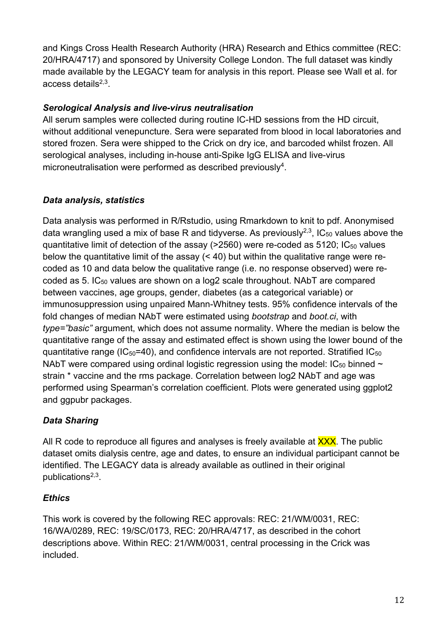and Kings Cross Health Research Authority (HRA) Research and Ethics committee (REC: 20/HRA/4717) and sponsored by University College London. The full dataset was kindly made available by the LEGACY team for analysis in this report. Please see Wall et al. for access details $2,3$ .

## *Serological Analysis and live-virus neutralisation*

All serum samples were collected during routine IC-HD sessions from the HD circuit, without additional venepuncture. Sera were separated from blood in local laboratories and stored frozen. Sera were shipped to the Crick on dry ice, and barcoded whilst frozen. All serological analyses, including in-house anti-Spike IgG ELISA and live-virus microneutralisation were performed as described previously<sup>4</sup>.

## *Data analysis, statistics*

Data analysis was performed in R/Rstudio, using Rmarkdown to knit to pdf. Anonymised data wrangling used a mix of base R and tidyverse. As previously<sup>2,3</sup>, IC<sub>50</sub> values above the quantitative limit of detection of the assay ( $>$ 2560) were re-coded as 5120; IC<sub>50</sub> values below the quantitative limit of the assay (< 40) but within the qualitative range were recoded as 10 and data below the qualitative range (i.e. no response observed) were recoded as 5. IC<sub>50</sub> values are shown on a log2 scale throughout. NAbT are compared between vaccines, age groups, gender, diabetes (as a categorical variable) or immunosuppression using unpaired Mann-Whitney tests. 95% confidence intervals of the fold changes of median NAbT were estimated using *bootstrap* and *boot.ci*, with *type="basic"* argument, which does not assume normality. Where the median is below the quantitative range of the assay and estimated effect is shown using the lower bound of the quantitative range ( $IC_{50}$ =40), and confidence intervals are not reported. Stratified  $IC_{50}$ NAbT were compared using ordinal logistic regression using the model:  $IC_{50}$  binned  $\sim$ strain \* vaccine and the rms package. Correlation between log2 NAbT and age was performed using Spearman's correlation coefficient. Plots were generated using ggplot2 and ggpubr packages.

## *Data Sharing*

All R code to reproduce all figures and analyses is freely available at **XXX**. The public dataset omits dialysis centre, age and dates, to ensure an individual participant cannot be identified. The LEGACY data is already available as outlined in their original publications $2,3$ .

## *Ethics*

This work is covered by the following REC approvals: REC: 21/WM/0031, REC: 16/WA/0289, REC: 19/SC/0173, REC: 20/HRA/4717, as described in the cohort descriptions above. Within REC: 21/WM/0031, central processing in the Crick was included.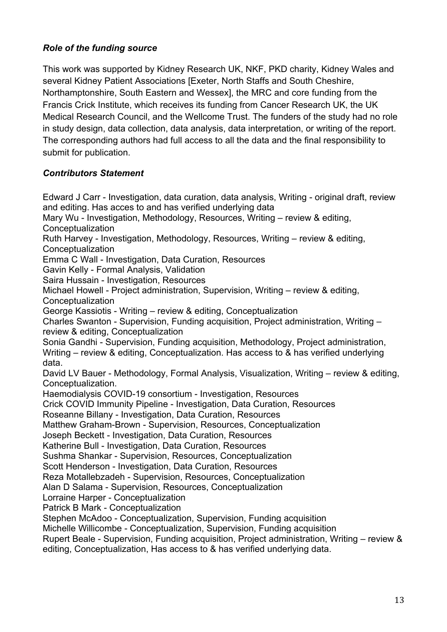#### *Role of the funding source*

This work was supported by Kidney Research UK, NKF, PKD charity, Kidney Wales and several Kidney Patient Associations [Exeter, North Staffs and South Cheshire, Northamptonshire, South Eastern and Wessex], the MRC and core funding from the Francis Crick Institute, which receives its funding from Cancer Research UK, the UK Medical Research Council, and the Wellcome Trust. The funders of the study had no role in study design, data collection, data analysis, data interpretation, or writing of the report. The corresponding authors had full access to all the data and the final responsibility to submit for publication.

#### *Contributors Statement*

Edward J Carr - Investigation, data curation, data analysis, Writing - original draft, review and editing. Has acces to and has verified underlying data Mary Wu - Investigation, Methodology, Resources, Writing – review & editing, **Conceptualization** Ruth Harvey - Investigation, Methodology, Resources, Writing – review & editing, Conceptualization Emma C Wall - Investigation, Data Curation, Resources Gavin Kelly - Formal Analysis, Validation Saira Hussain - Investigation, Resources Michael Howell - Project administration, Supervision, Writing – review & editing, **Conceptualization** George Kassiotis - Writing – review & editing, Conceptualization Charles Swanton - Supervision, Funding acquisition, Project administration, Writing – review & editing, Conceptualization Sonia Gandhi - Supervision, Funding acquisition, Methodology, Project administration, Writing – review & editing, Conceptualization. Has access to & has verified underlying data. David LV Bauer - Methodology, Formal Analysis, Visualization, Writing – review & editing, Conceptualization. Haemodialysis COVID-19 consortium - Investigation, Resources Crick COVID Immunity Pipeline - Investigation, Data Curation, Resources Roseanne Billany - Investigation, Data Curation, Resources Matthew Graham-Brown - Supervision, Resources, Conceptualization Joseph Beckett - Investigation, Data Curation, Resources Katherine Bull - Investigation, Data Curation, Resources Sushma Shankar - Supervision, Resources, Conceptualization Scott Henderson - Investigation, Data Curation, Resources Reza Motallebzadeh - Supervision, Resources, Conceptualization Alan D Salama - Supervision, Resources, Conceptualization Lorraine Harper - Conceptualization Patrick B Mark - Conceptualization Stephen McAdoo - Conceptualization, Supervision, Funding acquisition Michelle Willicombe - Conceptualization, Supervision, Funding acquisition Rupert Beale - Supervision, Funding acquisition, Project administration, Writing – review &

editing, Conceptualization, Has access to & has verified underlying data.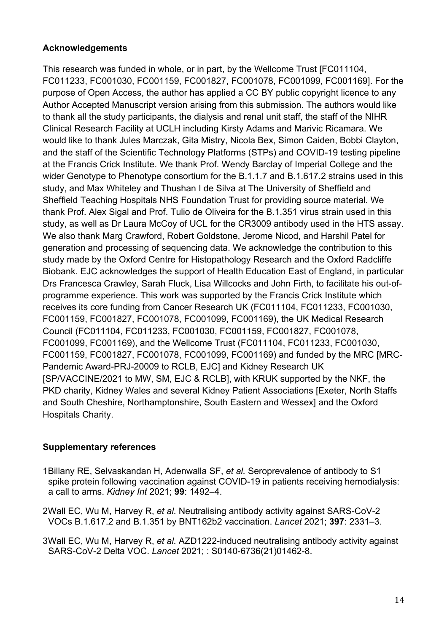#### **Acknowledgements**

This research was funded in whole, or in part, by the Wellcome Trust [FC011104, FC011233, FC001030, FC001159, FC001827, FC001078, FC001099, FC001169]. For the purpose of Open Access, the author has applied a CC BY public copyright licence to any Author Accepted Manuscript version arising from this submission. The authors would like to thank all the study participants, the dialysis and renal unit staff, the staff of the NIHR Clinical Research Facility at UCLH including Kirsty Adams and Marivic Ricamara. We would like to thank Jules Marczak, Gita Mistry, Nicola Bex, Simon Caiden, Bobbi Clayton, and the staff of the Scientific Technology Platforms (STPs) and COVID-19 testing pipeline at the Francis Crick Institute. We thank Prof. Wendy Barclay of Imperial College and the wider Genotype to Phenotype consortium for the B.1.1.7 and B.1.617.2 strains used in this study, and Max Whiteley and Thushan I de Silva at The University of Sheffield and Sheffield Teaching Hospitals NHS Foundation Trust for providing source material. We thank Prof. Alex Sigal and Prof. Tulio de Oliveira for the B.1.351 virus strain used in this study, as well as Dr Laura McCoy of UCL for the CR3009 antibody used in the HTS assay. We also thank Marg Crawford, Robert Goldstone, Jerome Nicod, and Harshil Patel for generation and processing of sequencing data. We acknowledge the contribution to this study made by the Oxford Centre for Histopathology Research and the Oxford Radcliffe Biobank. EJC acknowledges the support of Health Education East of England, in particular Drs Francesca Crawley, Sarah Fluck, Lisa Willcocks and John Firth, to facilitate his out-ofprogramme experience. This work was supported by the Francis Crick Institute which receives its core funding from Cancer Research UK (FC011104, FC011233, FC001030, FC001159, FC001827, FC001078, FC001099, FC001169), the UK Medical Research Council (FC011104, FC011233, FC001030, FC001159, FC001827, FC001078, FC001099, FC001169), and the Wellcome Trust (FC011104, FC011233, FC001030, FC001159, FC001827, FC001078, FC001099, FC001169) and funded by the MRC [MRC-Pandemic Award-PRJ-20009 to RCLB, EJC] and Kidney Research UK [SP/VACCINE/2021 to MW, SM, EJC & RCLB], with KRUK supported by the NKF, the PKD charity, Kidney Wales and several Kidney Patient Associations [Exeter, North Staffs and South Cheshire, Northamptonshire, South Eastern and Wessex] and the Oxford Hospitals Charity.

## **Supplementary references**

1Billany RE, Selvaskandan H, Adenwalla SF, *et al.* Seroprevalence of antibody to S1 spike protein following vaccination against COVID-19 in patients receiving hemodialysis: a call to arms. *Kidney Int* 2021; **99**: 1492–4.

2Wall EC, Wu M, Harvey R, *et al.* Neutralising antibody activity against SARS-CoV-2 VOCs B.1.617.2 and B.1.351 by BNT162b2 vaccination. *Lancet* 2021; **397**: 2331–3.

3Wall EC, Wu M, Harvey R, *et al.* AZD1222-induced neutralising antibody activity against SARS-CoV-2 Delta VOC. *Lancet* 2021; : S0140-6736(21)01462-8.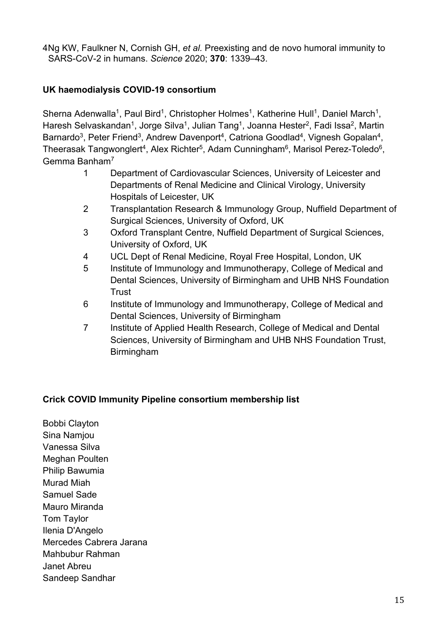4Ng KW, Faulkner N, Cornish GH, *et al.* Preexisting and de novo humoral immunity to SARS-CoV-2 in humans. *Science* 2020; **370**: 1339–43.

#### **UK haemodialysis COVID-19 consortium**

Sherna Adenwalla<sup>1</sup>, Paul Bird<sup>1</sup>, Christopher Holmes<sup>1</sup>, Katherine Hull<sup>1</sup>, Daniel March<sup>1</sup>, Haresh Selvaskandan<sup>1</sup>, Jorge Silva<sup>1</sup>, Julian Tang<sup>1</sup>, Joanna Hester<sup>2</sup>, Fadi Issa<sup>2</sup>, Martin Barnardo<sup>3</sup>, Peter Friend<sup>3</sup>, Andrew Davenport<sup>4</sup>, Catriona Goodlad<sup>4</sup>, Vignesh Gopalan<sup>4</sup>, Theerasak Tangwonglert<sup>4</sup>, Alex Richter<sup>5</sup>, Adam Cunningham<sup>6</sup>, Marisol Perez-Toledo<sup>6</sup>, Gemma Banham7

- 1 Department of Cardiovascular Sciences, University of Leicester and Departments of Renal Medicine and Clinical Virology, University Hospitals of Leicester, UK
- 2 Transplantation Research & Immunology Group, Nuffield Department of Surgical Sciences, University of Oxford, UK
- 3 Oxford Transplant Centre, Nuffield Department of Surgical Sciences, University of Oxford, UK
- 4 UCL Dept of Renal Medicine, Royal Free Hospital, London, UK
- 5 Institute of Immunology and Immunotherapy, College of Medical and Dental Sciences, University of Birmingham and UHB NHS Foundation **Trust**
- 6 Institute of Immunology and Immunotherapy, College of Medical and Dental Sciences, University of Birmingham
- 7 Institute of Applied Health Research, College of Medical and Dental Sciences, University of Birmingham and UHB NHS Foundation Trust, Birmingham

## **Crick COVID Immunity Pipeline consortium membership list**

Bobbi Clayton Sina Namjou Vanessa Silva Meghan Poulten Philip Bawumia Murad Miah Samuel Sade Mauro Miranda Tom Taylor Ilenia D'Angelo Mercedes Cabrera Jarana Mahbubur Rahman Janet Abreu Sandeep Sandhar